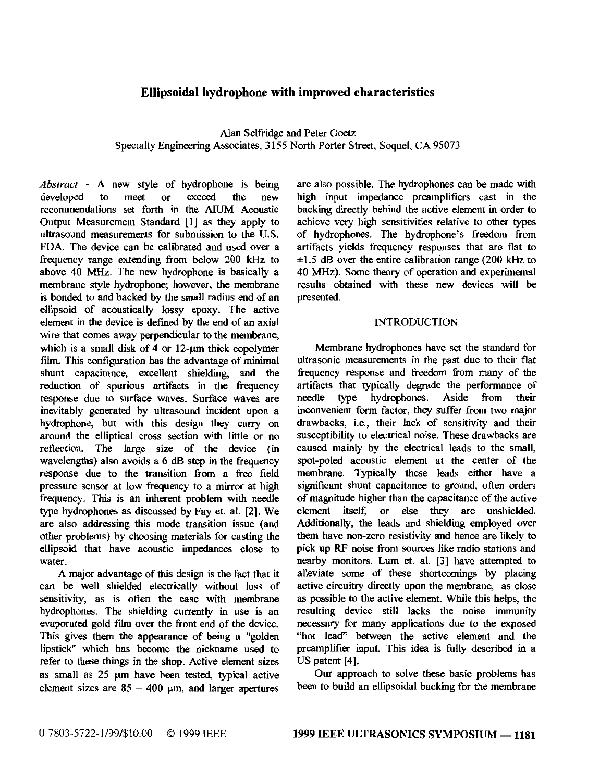# **Ellipsoidal hydrophone with improved characteristics**

Specialty Engineering Associates, 3155 North Porter Street, Soquel, CA 95073 Alan Selfridge and Peter **Goetz** 

*Abstract* - A new style of hydrophone is being developed to meet or exceed the new developed to meet or exceed the new recommendations **set** forth in the NUM Acoustic Output Measurement Standard [l] as they apply to ultrasound measurements for submission to the U.S. **FDA.** The device can be calibrated and used over a frequency range extending from below **200** kHz to above **40** *MHz.* The new hydrophone is basically a membrane style hydrophone; however, the membrane is bonded to and backed by the small radius end **of** an ellipsoid of acoustically lossy epoxy. The active element in the device is defined by the end of an axial wire that comes away perpendicular to the membrane, which is a small disk of 4 or 12-um thick copolymer **film.** This configuration has the advantage of minimal shunt capacitance, excellent shielding, and the reduction of spurious artifacts in the frequency response due to surface waves. Surface waves are inevitably generated by ultrasound incident upon a hydrophone, but with this design they carry on around the elliptical cross section with little or no reflection. The large size **of** the device (in wavelengths) also avoids a *6* dB step in the frequency **response** due to the transition from a free field pressure sensor at low frequency to a mirror at high frequency. This is an inherent problem with needle type hydrophones as discussed by Fay et. al. **121. We**  are also addressing this mode transition issue (and other problems) by choosing materials for casting the ellipsoid that have acoustic impedances close to water.

A major advantage of this design is the fact that it can be well shielded electrically without loss of sensitivity, as is often the *case* with membrane hydrophones. The shielding currently in **use** is an evaporated gold film over the front end of the device. This gives them the appearance of being **a** "golden lipstick" which has become the nickname used to refer to these things in the shop. Active element *sizes*  as small as 25 um have been tested, typical active element sizes are *85* - **400** *pm,* and larger apertures

are also possible. The hydrophones can be made with high input impedance preamplifiers cast in the backing directly behind the active element in order to achieve very high sensitivities relative to other types of hydrophones. The hydrophone's freedom from **+IS dB** over the entire calibration range (200 **kHz** to artifacts yields frequency responses that are flat to **40** MHz). Some theory of operation and experimental results obtained with these new devices will be presented.

### INTRODUCTION

Membrane hydrophones have set the standard for ultrasonic measurements in the past due to their flat frequency response and freedom from many of the artifacts that typically degrade the performance of needle type hydrophones. Aside from their hydrophones. inconvenient form factor, they suffer from two major drawbacks, i.e., their lack of sensitivity and their susceptibility to electrical noise. These drawbacks are caused mainly by the electrical leads to the small, spot-poled acoustic element at the center of the membrane. Typically these leads either have a significant shunt capacitance to ground, often orders of magnitude higher than the capacitance of the active element itself, or **else** they are unshielded. Additionally, the leads and shielding employed over them have non-zero resistivity and hence are likely to pick up RF noise from sources like radio stations and nearby monitors. **Lum** et. al. [3] have attempted to alleviate some of **these** shortcomings by placing active circuitry directly upon the membrane, as close as possible to **the** active element. **While** this helps, the resulting device still lacks the noise immunity necessary for many applications due to the exposed "hot lead" between the active element and the preamplifier input. This idea is fully described in a US patent [4].

Our approach to solve these basic problems has been to build an ellipsoidal backing for the membrane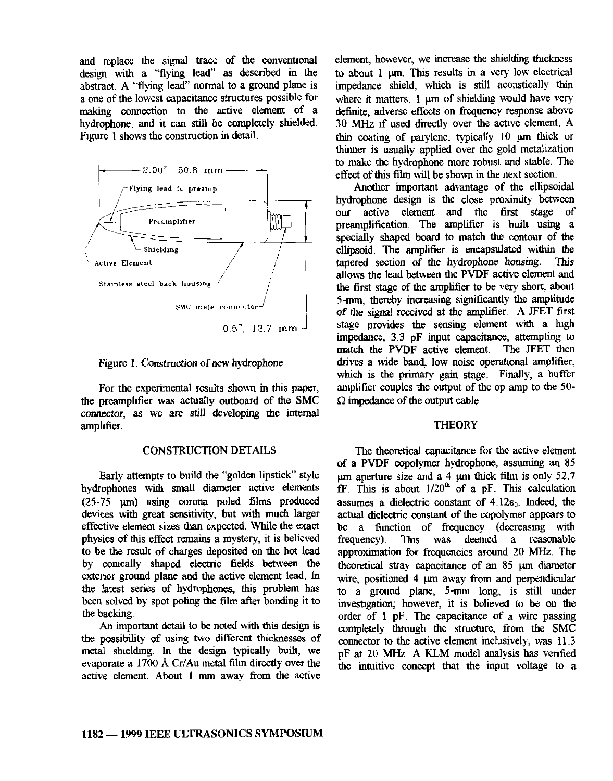and replace the signal **trace** of the conventional design with a "flying lead" **as** described in the abstract. A "flying lead" normal to a ground plane is making connection to the active element of a a one of the lowest capacitance structures possible for hydrophone, and it can still be completely shielded. [Figure](#page--1-0) 1 shows the construction in detail.



[Figure](#page--1-0) **1.** Construction of new hydrophone

For the experimental results shown in this paper, the preamplifier was actually outboard of the **SMC**  connector, as we are still developing the internal amplifier.

# CONSTRUCTION **DETAILS**

Early attempts to build the "golden lipstick" style hydrophones with **small** diameter active elements devices with great sensitivity, but with much larger effective element sizes than expected. While the exact physics of this effect remains a mystery, it is believed to be the result of charges deposited on the hot lead by conically **shaped** electric fields between the exterior ground plane and the active element lead. In the latest series of hydrophones, this problem has been solved by spot **poling** the film after bonding it to the backing.  $(25-75 \mu m)$  using corona poled films produced

An important detail to be noted with this design is the possibility of *using* two different thicknesses of metal shielding. In the design typically built, we evaporate a 1700 Å Cr/Au metal film directly over the active element. About **1** mm away from the active element, however, we increase the shielding thickness to about 1  $\mu$ m. This results in a very low electrical impedance shield, which is still acoustically thin where it matters. 1  $\mu$ m of shielding would have very definite, adverse effects on frequency response above 30 *MHz* if used directly over the active element. A thin coating of parylene, typically  $10 \mu m$  thick or thinner is usually applied over the gold metalization to make the hydrophone more robust and stable. The effect of this film will be shown in the **next** section.

Another important advantage of the ellipsoidal hydrophone design is the close proximity **between**  our active element and the first stage of preamplification. The amplifier is built **using** a specially shaped board to match the contour of the tapered section of the hydrophone housing. This ellipsoid. The amplifier is encapsulated within the allows the lead between the PVDF active element and **the** first stage of the amplifier to be very short, about *of* the signal received at the amplifier. A JFET first **5-m,** thereby increasing significantly the amplitude stage provides the sensing element with a high impedance, 3.3 pF input capacitance, attempting to match the PVDF active element. The JFET then drives a wide band, low noise operational amplifier, which is the primary gain stage. Finally, a buffer amplifier couples the output of the op amp to the 50 **l2 impedance** of the output cable.

### **THEORY**

of **a** PVDF cOpOlymer hydrophone, assuming an 85 The theoretical capacitance for the active element **E.** This is about 1/20\* of a pF. This calculation pm aperture size and a **4** pm thick **film** is only 52.7 assumes a dielectric constant of  $4.12\varepsilon_0$ . Indeed, the actual dielectric **constant of** the copolymer appears to be a function of frequency (decreasing with frequency). This was deemed a reasonable approximation **for** frequencies around 20 *MHz.* The theoretical stray capacitance of an 85 um diameter wire, positioned 4  $\mu$ m away from and perpendicular to a ground plane, 5-mm long, is still under investigation; however, it is believed to be on the order of 1 pF. The capacitance of a wire passing completely **through** the structure, from the SMC connector to the active element inclusively, **was** 11.3 pF at 20 *MHz.* A **KLM** model analysis **has** verified the intuitive concept that the input voltage to a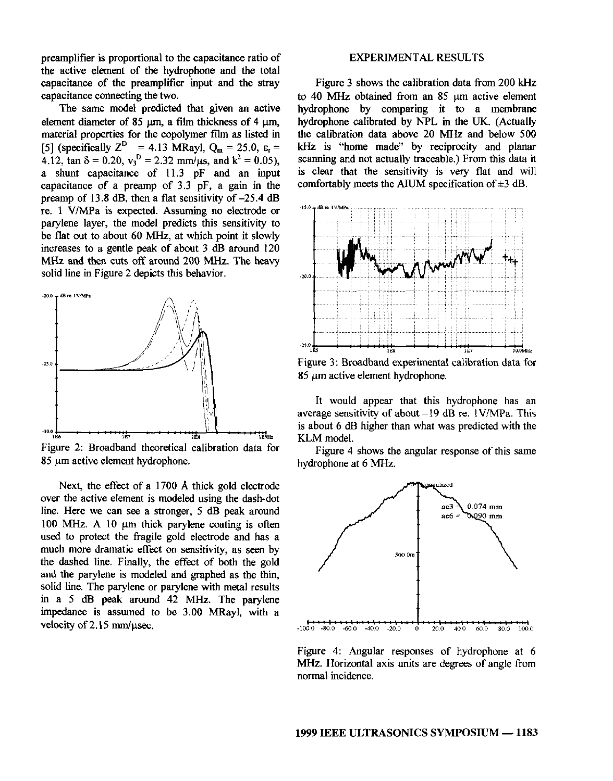preamplifier is proportional to the capacitance ratio of the active element of the hydrophone and the total capacitance of the preamplifier input and the stray capacitance connecting the two.

The same model predicted that given an active element diameter of  $85 \text{ µm}$ , a film thickness of  $4 \text{ µm}$ , material properties **for** the copolymer film as listed in  $[5]$  (specifically  $Z^D = 4.13$  MRayl,  $Q_m = 25.0$ ,  $\varepsilon_r =$ 4.12,  $\tan \delta = 0.20$ ,  $v_3^D = 2.32$  mm/ $\mu$ s, and  $k^2 = 0.05$ ), a shunt capacitance of 11.3 pF and an input capacitance of a preamp of 3.3 pF, a gain in the preamp of 13.8 dB, then a flat sensitivity of -25.4 **dB**  re. 1 VMPa is expected. Assuming no electrode or parylene layer, the model predicts this sensitivity to be flat out to about **60** *MHz,* at which point it slowly **MHz** and then cuts **off** around 200 **MHz.** The heavy increases to a gentle peak of about **3** dB around 120 solid line in [Figure 2](#page--1-0) depicts this behavior.



Figure **2:** Broadband theoretical calibration data for 85 pm active element hydrophone.

Next, the effect of a **1700 A** thick gold electrode over the active element is modeled using the dash-dot line. Here we can see a stronger, **S dB** peak around 100 MHz. A 10  $\mu$ m thick parylene coating is often used to protect the fragile gold electrode and has a the dashed line. Finally, the effect of both the gold much more dramatic effect on sensitivity, as seen by and the parylene is modeled and graphed as the thin, solid line. The parylene or parylene with metal results in a 5 **dB** peak around 42 *MHz.* The parylene impedance is assumed to be 3.00 MRayl, with a velocity of  $2.15 \text{ mm}/\mu \text{sec}$ .

#### EXPERIMENTAL **RESULTS**

[Figure 3](#page--1-0) shows the calibration data from 200 kHz to 40 MHz obtained from an 85 um active element hydrophone by comparing it to a membrane hydrophone calibrated by NPL in the UK. (Actually the calibration data above 20 *MHz* and below 500 kHz is "home made" by reciprocity and planar scanning and not actually traceable.) From this data it is clear that the sensitivity is very flat and will comfortably meets the AIUM specification of **\*3 dB.** 



It would appear that this hydrophone has an average sensitivity of about  $-19$  dB re. 1V/MPa. This is about 6 **dB** higher than what was predicted with the KLM model.

hydrophone at 6 *MHz.*  Figure 4 shows the angular response of this same



Figure 4: Angular esponses of hydrophone at 6 MHz. Horizontal axis units are degrees of angle from normal incidence.